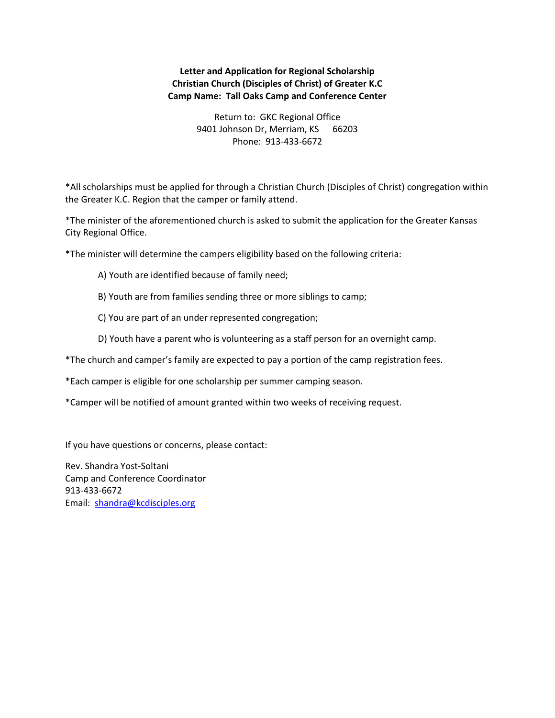## **Letter and Application for Regional Scholarship Christian Church (Disciples of Christ) of Greater K.C Camp Name: Tall Oaks Camp and Conference Center**

Return to: GKC Regional Office 9401 Johnson Dr, Merriam, KS 66203 Phone: 913-433-6672

\*All scholarships must be applied for through a Christian Church (Disciples of Christ) congregation within the Greater K.C. Region that the camper or family attend.

\*The minister of the aforementioned church is asked to submit the application for the Greater Kansas City Regional Office.

\*The minister will determine the campers eligibility based on the following criteria:

- A) Youth are identified because of family need;
- B) Youth are from families sending three or more siblings to camp;
- C) You are part of an under represented congregation;
- D) Youth have a parent who is volunteering as a staff person for an overnight camp.
- \*The church and camper's family are expected to pay a portion of the camp registration fees.
- \*Each camper is eligible for one scholarship per summer camping season.
- \*Camper will be notified of amount granted within two weeks of receiving request.

If you have questions or concerns, please contact:

Rev. Shandra Yost-Soltani Camp and Conference Coordinator 913-433-6672 Email: [shandra@kcdisciples.org](mailto:shandra@kcdisciples.org)